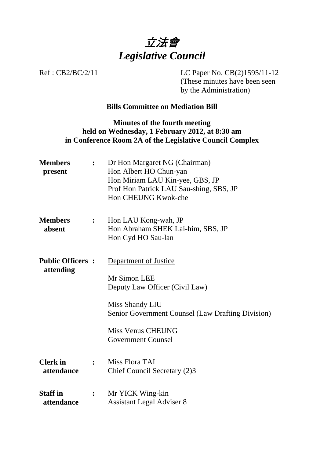

Ref : CB2/BC/2/11 LC Paper No. CB(2)1595/11-12 (These minutes have been seen by the Administration)

# **Bills Committee on Mediation Bill**

### **Minutes of the fourth meeting held on Wednesday, 1 February 2012, at 8:30 am in Conference Room 2A of the Legislative Council Complex**

| <b>Members</b><br>present            | $\ddot{\cdot}$   | Dr Hon Margaret NG (Chairman)<br>Hon Albert HO Chun-yan<br>Hon Miriam LAU Kin-yee, GBS, JP<br>Prof Hon Patrick LAU Sau-shing, SBS, JP<br>Hon CHEUNG Kwok-che |
|--------------------------------------|------------------|--------------------------------------------------------------------------------------------------------------------------------------------------------------|
| <b>Members</b><br>absent             | $\mathbf{L}$     | Hon LAU Kong-wah, JP<br>Hon Abraham SHEK Lai-him, SBS, JP<br>Hon Cyd HO Sau-lan                                                                              |
| <b>Public Officers:</b><br>attending |                  | Department of Justice<br>Mr Simon LEE<br>Deputy Law Officer (Civil Law)                                                                                      |
|                                      |                  | Miss Shandy LIU<br><b>Senior Government Counsel (Law Drafting Division)</b>                                                                                  |
|                                      |                  | <b>Miss Venus CHEUNG</b><br><b>Government Counsel</b>                                                                                                        |
| <b>Clerk</b> in<br>attendance        |                  | Miss Flora TAI<br>Chief Council Secretary (2)3                                                                                                               |
| <b>Staff in</b><br>attendance        | $\ddot{\bullet}$ | Mr YICK Wing-kin<br><b>Assistant Legal Adviser 8</b>                                                                                                         |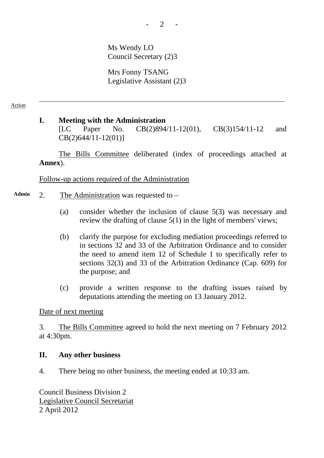Ms Wendy LO Council Secretary (2)3

Mrs Fonny TSANG Legislative Assistant (2)3

### **I. Meeting with the Administration**

[LC Paper No. CB(2)894/11-12(01), CB(3)154/11-12 and CB(2)644/11-12(01)]

The Bills Committee deliberated (index of proceedings attached at **Annex**).

Follow-up actions required of the Administration

- **Admin** 2. The Administration was requested to
	- (a) consider whether the inclusion of clause 5(3) was necessary and review the drafting of clause 5(1) in the light of members' views;
	- (b) clarify the purpose for excluding mediation proceedings referred to in sections 32 and 33 of the Arbitration Ordinance and to consider the need to amend item 12 of Schedule 1 to specifically refer to sections 32(3) and 33 of the Arbitration Ordinance (Cap. 609) for the purpose; and
	- (c) provide a written response to the drafting issues raised by deputations attending the meeting on 13 January 2012.

### Date of next meeting

3. The Bills Committee agreed to hold the next meeting on 7 February 2012 at 4:30pm.

#### **II. Any other business**

4. There being no other business, the meeting ended at 10:33 am.

Council Business Division 2 Legislative Council Secretariat 2 April 2012

2 <sub>2</sub>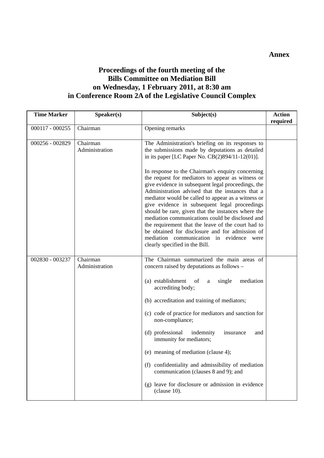## **Proceedings of the fourth meeting of the Bills Committee on Mediation Bill on Wednesday, 1 February 2011, at 8:30 am in Conference Room 2A of the Legislative Council Complex**

| <b>Time Marker</b> | Speaker(s)                 | Subject(s)                                                                                                                                                                                                                                                                                                                                                                                                                                                                                                                                                                                                                                                                                                                                                                           | <b>Action</b><br>required |
|--------------------|----------------------------|--------------------------------------------------------------------------------------------------------------------------------------------------------------------------------------------------------------------------------------------------------------------------------------------------------------------------------------------------------------------------------------------------------------------------------------------------------------------------------------------------------------------------------------------------------------------------------------------------------------------------------------------------------------------------------------------------------------------------------------------------------------------------------------|---------------------------|
| 000117 - 000255    | Chairman                   | Opening remarks                                                                                                                                                                                                                                                                                                                                                                                                                                                                                                                                                                                                                                                                                                                                                                      |                           |
| 000256 - 002829    | Chairman<br>Administration | The Administration's briefing on its responses to<br>the submissions made by deputations as detailed<br>in its paper [LC Paper No. CB(2)894/11-12(01)].<br>In response to the Chairman's enquiry concerning<br>the request for mediators to appear as witness or<br>give evidence in subsequent legal proceedings, the<br>Administration advised that the instances that a<br>mediator would be called to appear as a witness or<br>give evidence in subsequent legal proceedings<br>should be rare, given that the instances where the<br>mediation communications could be disclosed and<br>the requirement that the leave of the court had to<br>be obtained for disclosure and for admission of<br>mediation communication in evidence<br>were<br>clearly specified in the Bill. |                           |
| 002830 - 003237    | Chairman<br>Administration | The Chairman summarized the main areas of<br>concern raised by deputations as follows -<br>(a) establishment<br>mediation<br>of<br>single<br>$\rm{a}$<br>accrediting body;<br>(b) accreditation and training of mediators;<br>(c) code of practice for mediators and sanction for<br>non-compliance;<br>(d) professional<br>indemnity<br>insurance<br>and<br>immunity for mediators;<br>(e) meaning of mediation (clause 4);<br>(f) confidentiality and admissibility of mediation<br>communication (clauses 8 and 9); and<br>(g) leave for disclosure or admission in evidence<br>$clause 10$ ).                                                                                                                                                                                    |                           |

#### **Annex**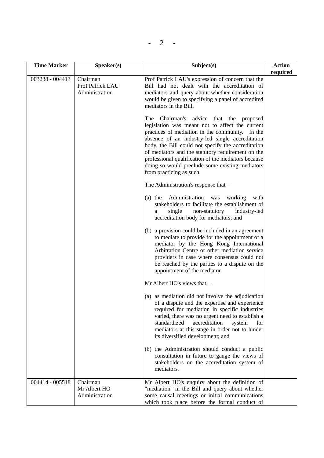| <b>Time Marker</b> | S <sub>p</sub> e <sub>aker</sub> (s)           | Subject(s)                                                                                                                                                                                                                                                                                                                                                                                                                                                                                                                                                                                                                                                                                   | <b>Action</b> |
|--------------------|------------------------------------------------|----------------------------------------------------------------------------------------------------------------------------------------------------------------------------------------------------------------------------------------------------------------------------------------------------------------------------------------------------------------------------------------------------------------------------------------------------------------------------------------------------------------------------------------------------------------------------------------------------------------------------------------------------------------------------------------------|---------------|
| 003238 - 004413    | Chairman<br>Prof Patrick LAU<br>Administration | Prof Patrick LAU's expression of concern that the<br>Bill had not dealt with the accreditation of<br>mediators and query about whether consideration<br>would be given to specifying a panel of accredited<br>mediators in the Bill.<br>The<br>Chairman's advice that the proposed<br>legislation was meant not to affect the current<br>practices of mediation in the community. In the<br>absence of an industry-led single accreditation<br>body, the Bill could not specify the accreditation<br>of mediators and the statutory requirement on the<br>professional qualification of the mediators because<br>doing so would preclude some existing mediators<br>from practicing as such. | required      |
|                    |                                                | The Administration's response that -<br>(a) the Administration was working<br>with<br>stakeholders to facilitate the establishment of<br>single<br>non-statutory<br>industry-led<br>a<br>accreditation body for mediators; and                                                                                                                                                                                                                                                                                                                                                                                                                                                               |               |
|                    |                                                | (b) a provision could be included in an agreement<br>to mediate to provide for the appointment of a<br>mediator by the Hong Kong International<br>Arbitration Centre or other mediation service<br>providers in case where consensus could not<br>be reached by the parties to a dispute on the<br>appointment of the mediator.                                                                                                                                                                                                                                                                                                                                                              |               |
|                    |                                                | Mr Albert HO's views that -                                                                                                                                                                                                                                                                                                                                                                                                                                                                                                                                                                                                                                                                  |               |
|                    |                                                | (a) as mediation did not involve the adjudication<br>of a dispute and the expertise and experience<br>required for mediation in specific industries<br>varied, there was no urgent need to establish a<br>standardized<br>accreditation<br>system<br>for<br>mediators at this stage in order not to hinder<br>its diversified development; and                                                                                                                                                                                                                                                                                                                                               |               |
|                    |                                                | (b) the Administration should conduct a public<br>consultation in future to gauge the views of<br>stakeholders on the accreditation system of<br>mediators.                                                                                                                                                                                                                                                                                                                                                                                                                                                                                                                                  |               |
| 004414 - 005518    | Chairman<br>Mr Albert HO<br>Administration     | Mr Albert HO's enquiry about the definition of<br>"mediation" in the Bill and query about whether<br>some causal meetings or initial communications<br>which took place before the formal conduct of                                                                                                                                                                                                                                                                                                                                                                                                                                                                                         |               |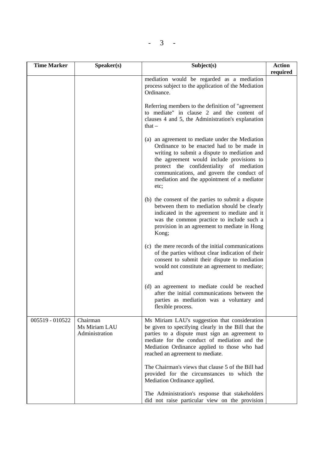| × |
|---|
|---|

| <b>Time Marker</b> | Speaker(s)                                  | Subject(s)                                                                                                                                                                                                                                                                                                                                | <b>Action</b><br>required |
|--------------------|---------------------------------------------|-------------------------------------------------------------------------------------------------------------------------------------------------------------------------------------------------------------------------------------------------------------------------------------------------------------------------------------------|---------------------------|
|                    |                                             | mediation would be regarded as a mediation<br>process subject to the application of the Mediation<br>Ordinance.                                                                                                                                                                                                                           |                           |
|                    |                                             | Referring members to the definition of "agreement"<br>to mediate" in clause 2 and the content of<br>clauses 4 and 5, the Administration's explanation<br>that $-$                                                                                                                                                                         |                           |
|                    |                                             | (a) an agreement to mediate under the Mediation<br>Ordinance to be enacted had to be made in<br>writing to submit a dispute to mediation and<br>the agreement would include provisions to<br>protect the confidentiality of mediation<br>communications, and govern the conduct of<br>mediation and the appointment of a mediator<br>etc; |                           |
|                    |                                             | (b) the consent of the parties to submit a dispute<br>between them to mediation should be clearly<br>indicated in the agreement to mediate and it<br>was the common practice to include such a<br>provision in an agreement to mediate in Hong<br>Kong;                                                                                   |                           |
|                    |                                             | (c) the mere records of the initial communications<br>of the parties without clear indication of their<br>consent to submit their dispute to mediation<br>would not constitute an agreement to mediate;<br>and                                                                                                                            |                           |
|                    |                                             | (d) an agreement to mediate could be reached<br>after the initial communications between the<br>parties as mediation was a voluntary and<br>flexible process.                                                                                                                                                                             |                           |
| 005519 - 010522    | Chairman<br>Ms Miriam LAU<br>Administration | Ms Miriam LAU's suggestion that consideration<br>be given to specifying clearly in the Bill that the<br>parties to a dispute must sign an agreement to<br>mediate for the conduct of mediation and the<br>Mediation Ordinance applied to those who had<br>reached an agreement to mediate.                                                |                           |
|                    |                                             | The Chairman's views that clause 5 of the Bill had<br>provided for the circumstances to which the<br>Mediation Ordinance applied.                                                                                                                                                                                                         |                           |
|                    |                                             | The Administration's response that stakeholders<br>did not raise particular view on the provision                                                                                                                                                                                                                                         |                           |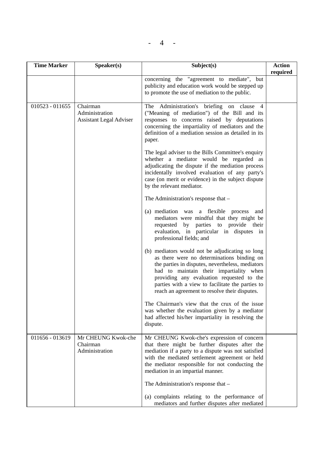$- 4 -$ 

| <b>Time Marker</b> | Speaker(s)                                                   | Subject(s)                                                                                                                                                                                                                                                                                                                                     | <b>Action</b><br>required |
|--------------------|--------------------------------------------------------------|------------------------------------------------------------------------------------------------------------------------------------------------------------------------------------------------------------------------------------------------------------------------------------------------------------------------------------------------|---------------------------|
|                    |                                                              | concerning the "agreement to mediate", but<br>publicity and education work would be stepped up<br>to promote the use of mediation to the public.                                                                                                                                                                                               |                           |
| $010523 - 011655$  | Chairman<br>Administration<br><b>Assistant Legal Adviser</b> | The Administration's briefing on clause 4<br>("Meaning of mediation") of the Bill and its<br>responses to concerns raised by deputations<br>concerning the impartiality of mediators and the<br>definition of a mediation session as detailed in its<br>paper.                                                                                 |                           |
|                    |                                                              | The legal adviser to the Bills Committee's enquiry<br>whether a mediator would be regarded as<br>adjudicating the dispute if the mediation process<br>incidentally involved evaluation of any party's<br>case (on merit or evidence) in the subject dispute<br>by the relevant mediator.                                                       |                           |
|                    |                                                              | The Administration's response that –                                                                                                                                                                                                                                                                                                           |                           |
|                    |                                                              | (a) mediation was a flexible process<br>and<br>mediators were mindful that they might be<br>requested by parties to provide<br>their<br>evaluation, in particular in disputes in<br>professional fields; and                                                                                                                                   |                           |
|                    |                                                              | (b) mediators would not be adjudicating so long<br>as there were no determinations binding on<br>the parties in disputes, nevertheless, mediators<br>had to maintain their impartiality when<br>providing any evaluation requested to the<br>parties with a view to facilitate the parties to<br>reach an agreement to resolve their disputes. |                           |
|                    |                                                              | The Chairman's view that the crux of the issue<br>was whether the evaluation given by a mediator<br>had affected his/her impartiality in resolving the<br>dispute.                                                                                                                                                                             |                           |
| 011656 - 013619    | Mr CHEUNG Kwok-che<br>Chairman<br>Administration             | Mr CHEUNG Kwok-che's expression of concern<br>that there might be further disputes after the<br>mediation if a party to a dispute was not satisfied<br>with the mediated settlement agreement or held<br>the mediator responsible for not conducting the<br>mediation in an impartial manner.                                                  |                           |
|                    |                                                              | The Administration's response that -                                                                                                                                                                                                                                                                                                           |                           |
|                    |                                                              | (a) complaints relating to the performance of<br>mediators and further disputes after mediated                                                                                                                                                                                                                                                 |                           |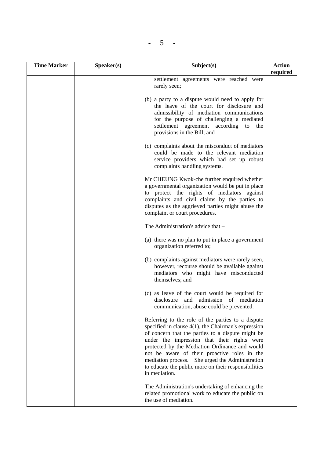|--|

| <b>Time Marker</b> | Speaker(s) | Subject(s)                                                                                                                                                                                                                                                                                                                                                                                                                                    | <b>Action</b><br>required |
|--------------------|------------|-----------------------------------------------------------------------------------------------------------------------------------------------------------------------------------------------------------------------------------------------------------------------------------------------------------------------------------------------------------------------------------------------------------------------------------------------|---------------------------|
|                    |            | settlement agreements were reached were<br>rarely seen;                                                                                                                                                                                                                                                                                                                                                                                       |                           |
|                    |            | (b) a party to a dispute would need to apply for<br>the leave of the court for disclosure and<br>admissibility of mediation communications<br>for the purpose of challenging a mediated<br>settlement agreement according<br>to<br>the<br>provisions in the Bill; and                                                                                                                                                                         |                           |
|                    |            | (c) complaints about the misconduct of mediators<br>could be made to the relevant mediation<br>service providers which had set up robust<br>complaints handling systems.                                                                                                                                                                                                                                                                      |                           |
|                    |            | Mr CHEUNG Kwok-che further enquired whether<br>a governmental organization would be put in place<br>to protect the rights of mediators against<br>complaints and civil claims by the parties to<br>disputes as the aggrieved parties might abuse the<br>complaint or court procedures.                                                                                                                                                        |                           |
|                    |            | The Administration's advice that -                                                                                                                                                                                                                                                                                                                                                                                                            |                           |
|                    |            | (a) there was no plan to put in place a government<br>organization referred to;                                                                                                                                                                                                                                                                                                                                                               |                           |
|                    |            | (b) complaints against mediators were rarely seen,<br>however, recourse should be available against<br>mediators who might have misconducted<br>themselves; and                                                                                                                                                                                                                                                                               |                           |
|                    |            | (c) as leave of the court would be required for<br>admission of mediation<br>disclosure<br>and<br>communication, abuse could be prevented.                                                                                                                                                                                                                                                                                                    |                           |
|                    |            | Referring to the role of the parties to a dispute<br>specified in clause $4(1)$ , the Chairman's expression<br>of concern that the parties to a dispute might be<br>under the impression that their rights were<br>protected by the Mediation Ordinance and would<br>not be aware of their proactive roles in the<br>mediation process. She urged the Administration<br>to educate the public more on their responsibilities<br>in mediation. |                           |
|                    |            | The Administration's undertaking of enhancing the<br>related promotional work to educate the public on<br>the use of mediation.                                                                                                                                                                                                                                                                                                               |                           |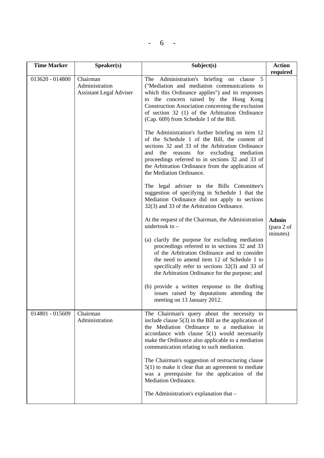| 6 <sup>6</sup> |  |  |
|----------------|--|--|
|                |  |  |

| <b>Time Marker</b> | S <sub>p</sub> e <sub>aker</sub> (s)                         | Subject(s)                                                                                                                                                                                                                                                                                                                                                                                                                                                                                                                                                                                                                                                                                                                                                                                                                                                                                                                                                                                                                                                                                                                                                                                                                                                                | <b>Action</b>                                      |
|--------------------|--------------------------------------------------------------|---------------------------------------------------------------------------------------------------------------------------------------------------------------------------------------------------------------------------------------------------------------------------------------------------------------------------------------------------------------------------------------------------------------------------------------------------------------------------------------------------------------------------------------------------------------------------------------------------------------------------------------------------------------------------------------------------------------------------------------------------------------------------------------------------------------------------------------------------------------------------------------------------------------------------------------------------------------------------------------------------------------------------------------------------------------------------------------------------------------------------------------------------------------------------------------------------------------------------------------------------------------------------|----------------------------------------------------|
| 013620 - 014800    | Chairman<br>Administration<br><b>Assistant Legal Adviser</b> | Administration's briefing on clause<br>5<br>The<br>("Mediation and mediation communications to<br>which this Ordinance applies") and its responses<br>to the concern raised by the Hong Kong<br>Construction Association concerning the exclusion<br>of section 32 (1) of the Arbitration Ordinance<br>(Cap. 609) from Schedule 1 of the Bill.<br>The Administration's further briefing on item 12<br>of the Schedule 1 of the Bill, the content of<br>sections 32 and 33 of the Arbitration Ordinance<br>the reasons for excluding mediation<br>and<br>proceedings referred to in sections 32 and 33 of<br>the Arbitration Ordinance from the application of<br>the Mediation Ordinance.<br>The legal adviser to the Bills Committee's<br>suggestion of specifying in Schedule 1 that the<br>Mediation Ordinance did not apply to sections<br>32(3) and 33 of the Arbitration Ordinance.<br>At the request of the Chairman, the Administration<br>undertook to $-$<br>(a) clarify the purpose for excluding mediation<br>proceedings referred to in sections 32 and 33<br>of the Arbitration Ordinance and to consider<br>the need to amend item 12 of Schedule 1 to<br>specifically refer to sections 32(3) and 33 of<br>the Arbitration Ordinance for the purpose; and | required<br><b>Admin</b><br>(para 2 of<br>minutes) |
|                    |                                                              | (b) provide a written response to the drafting<br>issues raised by deputations attending the<br>meeting on 13 January 2012.                                                                                                                                                                                                                                                                                                                                                                                                                                                                                                                                                                                                                                                                                                                                                                                                                                                                                                                                                                                                                                                                                                                                               |                                                    |
| 014801 - 015609    | Chairman<br>Administration                                   | The Chairman's query about the necessity to<br>include clause $5(3)$ in the Bill as the application of<br>the Mediation Ordinance to a mediation in<br>accordance with clause $5(1)$ would necessarily<br>make the Ordinance also applicable to a mediation<br>communication relating to such mediation.                                                                                                                                                                                                                                                                                                                                                                                                                                                                                                                                                                                                                                                                                                                                                                                                                                                                                                                                                                  |                                                    |
|                    |                                                              | The Chairman's suggestion of restructuring clause<br>$5(1)$ to make it clear that an agreement to mediate<br>was a prerequisite for the application of the<br>Mediation Ordinance.<br>The Administration's explanation that –                                                                                                                                                                                                                                                                                                                                                                                                                                                                                                                                                                                                                                                                                                                                                                                                                                                                                                                                                                                                                                             |                                                    |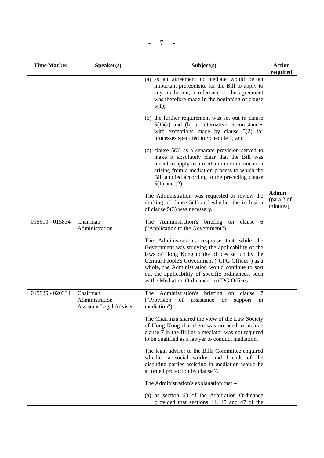$- 7 -$ 

| <b>Time Marker</b> | Speaker(s)                                                   | Subject(s)                                                                                                                                                                                                                                                                                                                                                      | <b>Action</b><br>required              |
|--------------------|--------------------------------------------------------------|-----------------------------------------------------------------------------------------------------------------------------------------------------------------------------------------------------------------------------------------------------------------------------------------------------------------------------------------------------------------|----------------------------------------|
|                    |                                                              | (a) as an agreement to mediate would be an<br>important prerequisite for the Bill to apply to<br>any mediation, a reference to the agreement<br>was therefore made in the beginning of clause<br>5(1);                                                                                                                                                          |                                        |
|                    |                                                              | (b) the further requirement was set out in clause<br>$5(1)(a)$ and (b) as alternative circumstances<br>with exceptions made by clause $5(2)$ for<br>processes specified in Schedule 1; and                                                                                                                                                                      |                                        |
|                    |                                                              | (c) clause $5(3)$ as a separate provision served to<br>make it absolutely clear that the Bill was<br>meant to apply to a mediation communication<br>arising from a mediation process to which the<br>Bill applied according to the preceding clause<br>$5(1)$ and $(2)$ .                                                                                       |                                        |
|                    |                                                              | The Administration was requested to review the<br>drafting of clause $5(1)$ and whether the inclusion<br>of clause $5(3)$ was necessary.                                                                                                                                                                                                                        | <b>Admin</b><br>(para 2 of<br>minutes) |
| 015610 - 015834    | Chairman<br>Administration                                   | Administration's briefing<br>The<br>clause<br>on<br>6<br>("Application to the Government").                                                                                                                                                                                                                                                                     |                                        |
|                    |                                                              | The Administration's response that while the<br>Government was studying the applicability of the<br>laws of Hong Kong to the offices set up by the<br>Central People's Government ("CPG Offices") as a<br>whole, the Administration would continue to sort<br>out the applicability of specific ordinances, such<br>as the Mediation Ordinance, to CPG Offices. |                                        |
| 015835 - 020334    | Chairman<br>Administration<br><b>Assistant Legal Adviser</b> | Administration's briefing<br>The<br>clause<br>7<br>on<br>("Provision<br>of<br>assistance<br><b>or</b><br>support<br>1n<br>mediation").                                                                                                                                                                                                                          |                                        |
|                    |                                                              | The Chairman shared the view of the Law Society<br>of Hong Kong that there was no need to include<br>clause 7 in the Bill as a mediator was not required<br>to be qualified as a lawyer to conduct mediation.                                                                                                                                                   |                                        |
|                    |                                                              | The legal adviser to the Bills Committee enquired<br>whether a social worker and friends of the<br>disputing parties assisting in mediation would be<br>afforded protection by clause 7.                                                                                                                                                                        |                                        |
|                    |                                                              | The Administration's explanation that -                                                                                                                                                                                                                                                                                                                         |                                        |
|                    |                                                              | (a) as section 63 of the Arbitration Ordinance<br>provided that sections 44, 45 and 47 of the                                                                                                                                                                                                                                                                   |                                        |